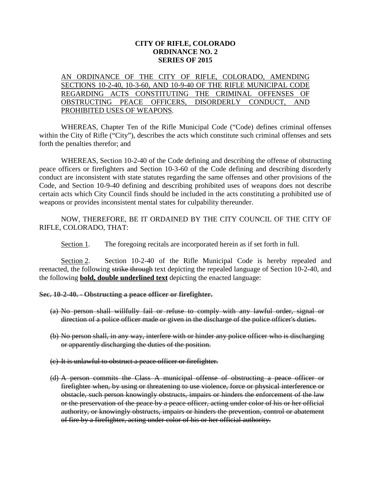## **CITY OF RIFLE, COLORADO ORDINANCE NO. 2 SERIES OF 2015**

AN ORDINANCE OF THE CITY OF RIFLE, COLORADO, AMENDING SECTIONS 10-2-40, 10-3-60, AND 10-9-40 OF THE RIFLE MUNICIPAL CODE REGARDING ACTS CONSTITUTING THE CRIMINAL OFFENSES OF OBSTRUCTING PEACE OFFICERS, DISORDERLY CONDUCT, AND PROHIBITED USES OF WEAPONS.

WHEREAS, Chapter Ten of the Rifle Municipal Code ("Code) defines criminal offenses within the City of Rifle ("City"), describes the acts which constitute such criminal offenses and sets forth the penalties therefor; and

WHEREAS, Section 10-2-40 of the Code defining and describing the offense of obstructing peace officers or firefighters and Section 10-3-60 of the Code defining and describing disorderly conduct are inconsistent with state statutes regarding the same offenses and other provisions of the Code, and Section 10-9-40 defining and describing prohibited uses of weapons does not describe certain acts which City Council finds should be included in the acts constituting a prohibited use of weapons or provides inconsistent mental states for culpability thereunder.

NOW, THEREFORE, BE IT ORDAINED BY THE CITY COUNCIL OF THE CITY OF RIFLE, COLORADO, THAT:

Section 1. The foregoing recitals are incorporated herein as if set forth in full.

Section 2. Section 10-2-40 of the Rifle Municipal Code is hereby repealed and reenacted, the following strike through text depicting the repealed language of Section 10-2-40, and the following **bold, double underlined text** depicting the enacted language:

**Sec. 10-2-40. - Obstructing a peace officer or firefighter.**

- (a) No person shall willfully fail or refuse to comply with any lawful order, signal or direction of a police officer made or given in the discharge of the police officer's duties.
- (b) No person shall, in any way, interfere with or hinder any police officer who is discharging or apparently discharging the duties of the position.
- (c) It is unlawful to obstruct a peace officer or firefighter.
- (d) A person commits the Class A municipal offense of obstructing a peace officer or firefighter when, by using or threatening to use violence, force or physical interference or obstacle, such person knowingly obstructs, impairs or hinders the enforcement of the law or the preservation of the peace by a peace officer, acting under color of his or her official authority, or knowingly obstructs, impairs or hinders the prevention, control or abatement of fire by a firefighter, acting under color of his or her official authority.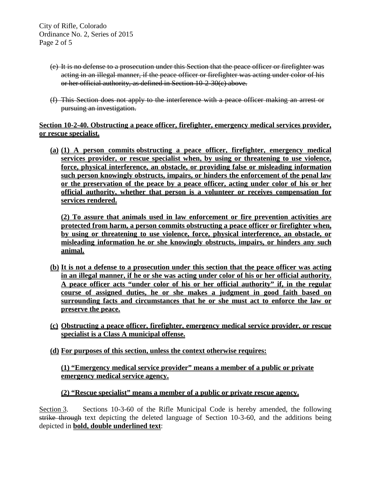City of Rifle, Colorado Ordinance No. 2, Series of 2015 Page 2 of 5

- (e) It is no defense to a prosecution under this Section that the peace officer or firefighter was acting in an illegal manner, if the peace officer or firefighter was acting under color of his or her official authority, as defined in Section 10-2-30(c) above.
- (f) This Section does not apply to the interference with a peace officer making an arrest or pursuing an investigation.

**Section 10-2-40. Obstructing a peace officer, firefighter, emergency medical services provider, or rescue specialist.**

**(a) (1) A person commits obstructing a peace officer, firefighter, emergency medical services provider, or rescue specialist when, by using or threatening to use violence, force, physical interference, an obstacle, or providing false or misleading information such person knowingly obstructs, impairs, or hinders the enforcement of the penal law or the preservation of the peace by a peace officer, acting under color of his or her official authority, whether that person is a volunteer or receives compensation for services rendered.**

**(2) To assure that animals used in law enforcement or fire prevention activities are protected from harm, a person commits obstructing a peace officer or firefighter when, by using or threatening to use violence, force, physical interference, an obstacle, or misleading information he or she knowingly obstructs, impairs, or hinders any such animal.**

- **(b) It is not a defense to a prosecution under this section that the peace officer was acting in an illegal manner, if he or she was acting under color of his or her official authority. A peace officer acts "under color of his or her official authority" if, in the regular course of assigned duties, he or she makes a judgment in good faith based on surrounding facts and circumstances that he or she must act to enforce the law or preserve the peace.**
- **(c) Obstructing a peace officer, firefighter, emergency medical service provider, or rescue specialist is a Class A municipal offense.**
- **(d) For purposes of this section, unless the context otherwise requires:**

## **(1) "Emergency medical service provider" means a member of a public or private emergency medical service agency.**

## **(2) "Rescue specialist" means a member of a public or private rescue agency.**

Section 3. Sections 10-3-60 of the Rifle Municipal Code is hereby amended, the following strike through text depicting the deleted language of Section 10-3-60, and the additions being depicted in **bold, double underlined text**: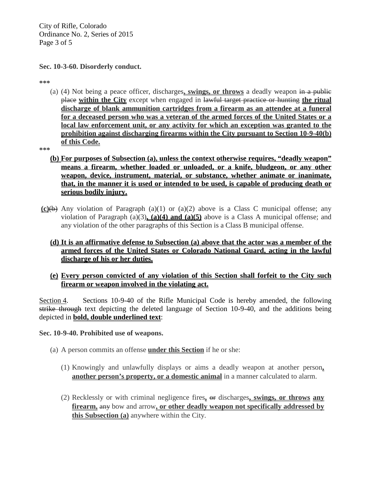City of Rifle, Colorado Ordinance No. 2, Series of 2015 Page 3 of 5

**Sec. 10-3-60. Disorderly conduct.**

**\*\*\***

(a) (4) Not being a peace officer, discharges**, swings, or throws** a deadly weapon in a public place **within the City** except when engaged in lawful target practice or hunting **the ritual discharge of blank ammunition cartridges from a firearm as an attendee at a funeral for a deceased person who was a veteran of the armed forces of the United States or a local law enforcement unit, or any activity for which an exception was granted to the prohibition against discharging firearms within the City pursuant to Section 10-9-40(b) of this Code.** 

**\*\*\***

- **(b) For purposes of Subsection (a), unless the context otherwise requires, "deadly weapon" means a firearm, whether loaded or unloaded, or a knife, bludgeon, or any other weapon, device, instrument, material, or substance, whether animate or inanimate, that, in the manner it is used or intended to be used, is capable of producing death or serious bodily injury.**
- **(c)**(b) Any violation of Paragraph (a)(1) or (a)(2) above is a Class C municipal offense; any violation of Paragraph (a)(3)**, (a)(4) and (a)(5)** above is a Class A municipal offense; and any violation of the other paragraphs of this Section is a Class B municipal offense.
	- **(d) It is an affirmative defense to Subsection (a) above that the actor was a member of the armed forces of the United States or Colorado National Guard, acting in the lawful discharge of his or her duties.**
	- **(e) Every person convicted of any violation of this Section shall forfeit to the City such firearm or weapon involved in the violating act.**

Section 4. Sections 10-9-40 of the Rifle Municipal Code is hereby amended, the following strike through text depicting the deleted language of Section 10-9-40, and the additions being depicted in **bold, double underlined text**:

**Sec. 10-9-40. Prohibited use of weapons.**

- (a) A person commits an offense **under this Section** if he or she:
	- (1) Knowingly and unlawfully displays or aims a deadly weapon at another person**, another person's property, or a domestic animal** in a manner calculated to alarm.
	- (2) Recklessly or with criminal negligence fires**,** or discharges**, swings, or throws any firearm,** any bow and arrow**, or other deadly weapon not specifically addressed by this Subsection (a)** anywhere within the City.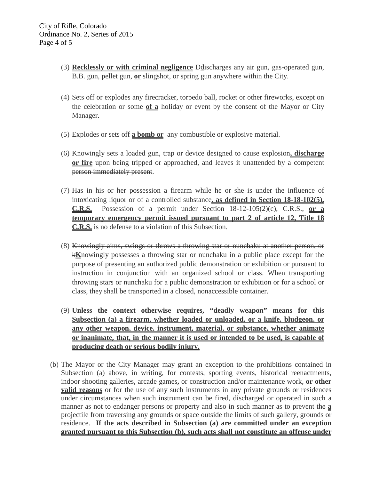- (3) **Recklessly or with criminal negligence** Ddischarges any air gun, gas-operated gun, B.B. gun, pellet gun, **or** slingshot, or spring gun anywhere within the City.
- (4) Sets off or explodes any firecracker, torpedo ball, rocket or other fireworks, except on the celebration or some **of a** holiday or event by the consent of the Mayor or City Manager.
- (5) Explodes or sets off **a bomb or** any combustible or explosive material.
- (6) Knowingly sets a loaded gun, trap or device designed to cause explosion**, discharge or fire** upon being tripped or approached, and leaves it unattended by a competent person immediately present.
- (7) Has in his or her possession a firearm while he or she is under the influence of intoxicating liquor or of a controlled substance**, as defined in Section 18-18-102(5), C.R.S.** Possession of a permit under Section 18-12-105(2)(c), C.R.S., **or a temporary emergency permit issued pursuant to part 2 of article 12, Title 18 C.R.S.** is no defense to a violation of this Subsection.
- (8) Knowingly aims, swings or throws a throwing star or nunchaku at another person, or k**K**nowingly possesses a throwing star or nunchaku in a public place except for the purpose of presenting an authorized public demonstration or exhibition or pursuant to instruction in conjunction with an organized school or class. When transporting throwing stars or nunchaku for a public demonstration or exhibition or for a school or class, they shall be transported in a closed, nonaccessible container.
- (9) **Unless the context otherwise requires, "deadly weapon" means for this Subsection (a) a firearm, whether loaded or unloaded, or a knife, bludgeon, or any other weapon, device, instrument, material, or substance, whether animate or inanimate, that, in the manner it is used or intended to be used, is capable of producing death or serious bodily injury.**
- (b) The Mayor or the City Manager may grant an exception to the prohibitions contained in Subsection (a) above, in writing, for contests, sporting events, historical reenactments, indoor shooting galleries, arcade games**,** or construction and/or maintenance work, **or other valid reasons** or for the use of any such instruments in any private grounds or residences under circumstances when such instrument can be fired, discharged or operated in such a manner as not to endanger persons or property and also in such manner as to prevent the **a** projectile from traversing any grounds or space outside the limits of such gallery, grounds or residence. **If the acts described in Subsection (a) are committed under an exception granted pursuant to this Subsection (b), such acts shall not constitute an offense under**